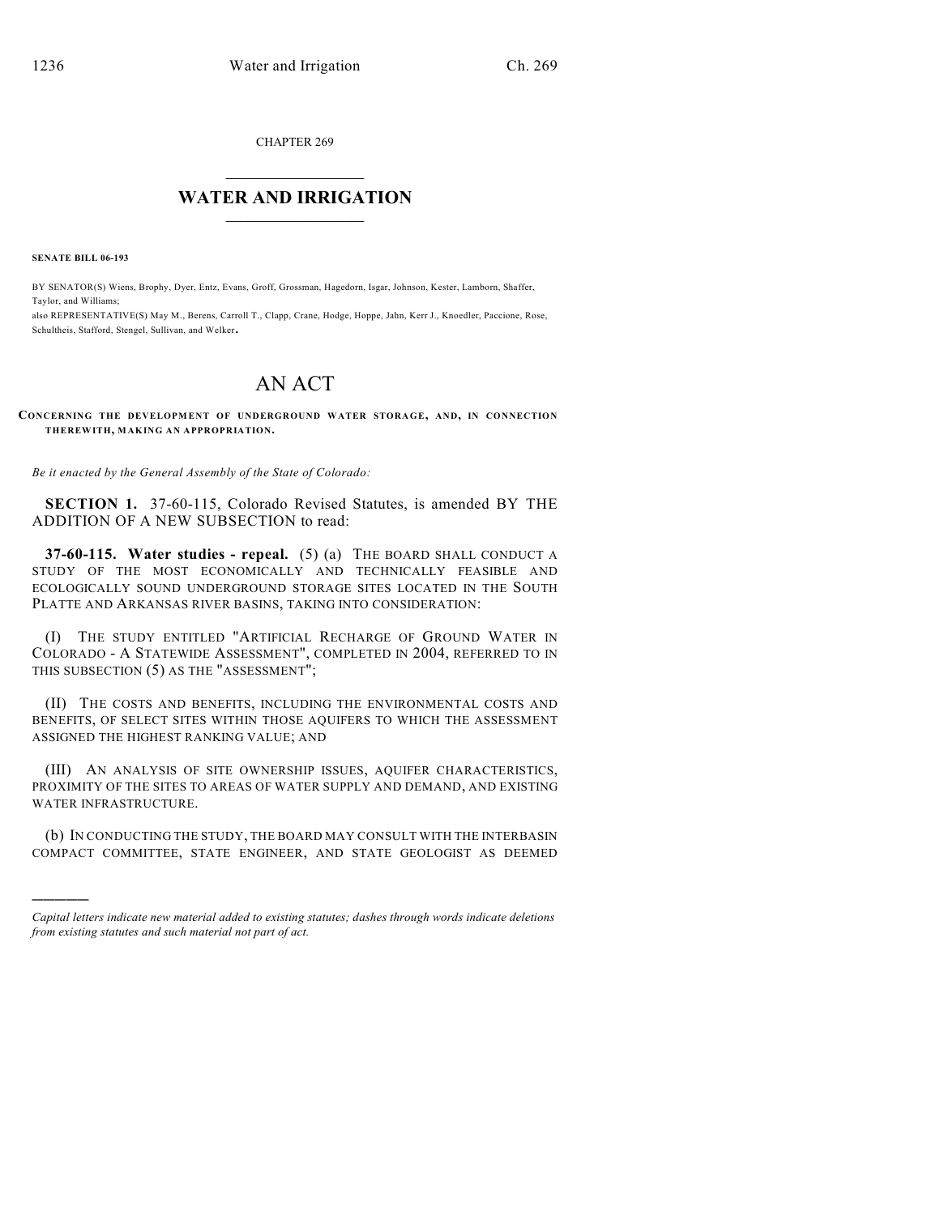CHAPTER 269

## $\overline{\phantom{a}}$  . The set of the set of the set of the set of the set of the set of the set of the set of the set of the set of the set of the set of the set of the set of the set of the set of the set of the set of the set o **WATER AND IRRIGATION**  $\_$   $\_$

**SENATE BILL 06-193**

)))))

BY SENATOR(S) Wiens, Brophy, Dyer, Entz, Evans, Groff, Grossman, Hagedorn, Isgar, Johnson, Kester, Lamborn, Shaffer, Taylor, and Williams;

also REPRESENTATIVE(S) May M., Berens, Carroll T., Clapp, Crane, Hodge, Hoppe, Jahn, Kerr J., Knoedler, Paccione, Rose, Schultheis, Stafford, Stengel, Sullivan, and Welker.

## AN ACT

## **CONCERNING THE DEVELOPMENT OF UNDERGROUND WATER STORA GE, AND, IN CONNECTION THEREWITH, MAKING AN APPROPRIATION.**

*Be it enacted by the General Assembly of the State of Colorado:*

**SECTION 1.** 37-60-115, Colorado Revised Statutes, is amended BY THE ADDITION OF A NEW SUBSECTION to read:

**37-60-115. Water studies - repeal.** (5) (a) THE BOARD SHALL CONDUCT A STUDY OF THE MOST ECONOMICALLY AND TECHNICALLY FEASIBLE AND ECOLOGICALLY SOUND UNDERGROUND STORAGE SITES LOCATED IN THE SOUTH PLATTE AND ARKANSAS RIVER BASINS, TAKING INTO CONSIDERATION:

(I) THE STUDY ENTITLED "ARTIFICIAL RECHARGE OF GROUND WATER IN COLORADO - A STATEWIDE ASSESSMENT", COMPLETED IN 2004, REFERRED TO IN THIS SUBSECTION (5) AS THE "ASSESSMENT";

(II) THE COSTS AND BENEFITS, INCLUDING THE ENVIRONMENTAL COSTS AND BENEFITS, OF SELECT SITES WITHIN THOSE AQUIFERS TO WHICH THE ASSESSMENT ASSIGNED THE HIGHEST RANKING VALUE; AND

(III) AN ANALYSIS OF SITE OWNERSHIP ISSUES, AQUIFER CHARACTERISTICS, PROXIMITY OF THE SITES TO AREAS OF WATER SUPPLY AND DEMAND, AND EXISTING WATER INFRASTRUCTURE.

(b) IN CONDUCTING THE STUDY, THE BOARD MAY CONSULT WITH THE INTERBASIN COMPACT COMMITTEE, STATE ENGINEER, AND STATE GEOLOGIST AS DEEMED

*Capital letters indicate new material added to existing statutes; dashes through words indicate deletions from existing statutes and such material not part of act.*